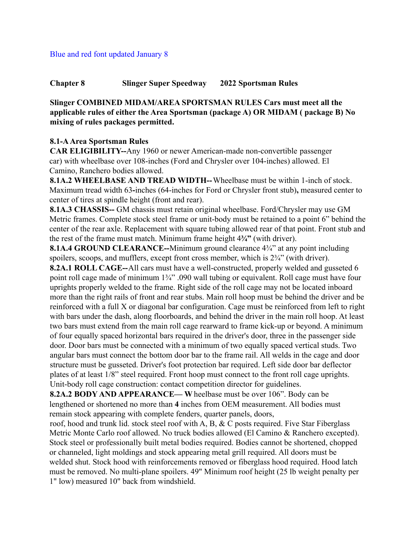#### **Chapter 8 Slinger Super Speedway 2022 Sportsman Rules**

**Slinger COMBINED MIDAM/AREA SPORTSMAN RULES Cars must meet all the applicable rules of either the Area Sportsman (package A) OR MIDAM ( package B) No mixing of rules packages permitted.**

#### **8.1-AArea Sportsman Rules**

**CAR ELIGIBILITY--**Any 1960 or newer American-made non-convertible passenger car) with wheelbase over 108-inches (Ford and Chrysler over 104-inches) allowed. El Camino, Ranchero bodies allowed.

**8.1A.2 WHEELBASE AND TREAD WIDTH--**Wheelbase must be within 1-inch of stock. Maximum tread width 63**-**inches (64-inches for Ford or Chrysler front stub)**,** measured center to center of tires at spindle height (front and rear).

**8.1A.3 CHASSIS--** GM chassis must retain original wheelbase. Ford/Chrysler may use GM Metric frames. Complete stock steel frame or unit-body must be retained to a point 6" behind the center of the rear axle. Replacement with square tubing allowed rear of that point. Front stub and the rest of the frame must match. Minimum frame height 4**¾"** (with driver).

**8.1A.4 GROUND CLEARANCE--**Minimum ground clearance 4¾" at any point including spoilers, scoops, and mufflers, except front cross member, which is  $2\frac{3}{4}$ " (with driver).

**8.2A.1 ROLL CAGE--**All cars must have a well-constructed, properly welded and gusseted 6 point roll cage made of minimum 1<sup>3</sup>/<sub>4</sub>". 090 wall tubing or equivalent. Roll cage must have four uprights properly welded to the frame. Right side of the roll cage may not be located inboard more than the right rails of front and rear stubs. Main roll hoop must be behind the driver and be reinforced with a full X or diagonal bar configuration. Cage must be reinforced from left to right with bars under the dash, along floorboards, and behind the driver in the main roll hoop. At least two bars must extend from the main roll cage rearward to frame kick-up or beyond. A minimum of four equally spaced horizontal bars required in the driver's door, three in the passenger side door. Door bars must be connected with a minimum of two equally spaced vertical studs. Two angular bars must connect the bottom door bar to the frame rail. All welds in the cage and door structure must be gusseted. Driver's foot protection bar required. Left side door bar deflector plates of at least 1/8" steel required. Front hoop must connect to the front roll cage uprights. Unit-body roll cage construction: contact competition director for guidelines.

**8.2A.2 BODY AND APPEARANCE— W**heelbase must be over 106". Body can be lengthened or shortened no more than **4** inches from OEM measurement. All bodies must remain stock appearing with complete fenders, quarter panels, doors,

roof, hood and trunk lid. stock steel roof with A, B,  $\&$  C posts required. Five Star Fiberglass Metric Monte Carlo roof allowed. No truck bodies allowed (El Camino & Ranchero excepted). Stock steel or professionally built metal bodies required. Bodies cannot be shortened, chopped or channeled, light moldings and stock appearing metal grill required. All doors must be welded shut. Stock hood with reinforcements removed or fiberglass hood required. Hood latch must be removed. No multi-plane spoilers. 49" Minimum roof height (25 lb weight penalty per 1" low) measured 10" back from windshield.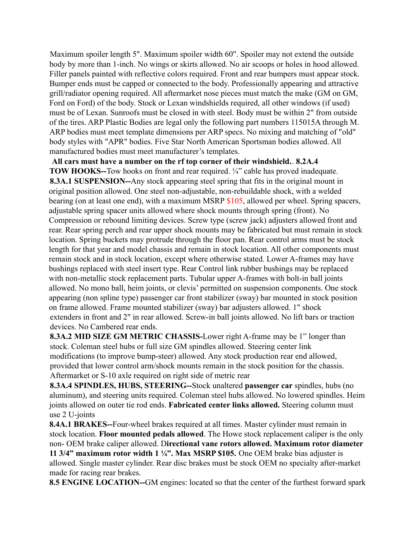Maximum spoiler length 5". Maximum spoiler width 60". Spoiler may not extend the outside body by more than 1-inch. No wings or skirts allowed. No air scoops or holes in hood allowed. Filler panels painted with reflective colors required. Front and rear bumpers must appear stock. Bumper ends must be capped or connected to the body. Professionally appearing and attractive grill/radiator opening required. All aftermarket nose pieces must match the make (GM on GM, Ford on Ford) of the body. Stock or Lexan windshields required, all other windows (if used) must be of Lexan. Sunroofs must be closed in with steel. Body must be within 2" from outside of the tires. ARP Plastic Bodies are legal only the following part numbers 115015A through M. ARP bodies must meet template dimensions per ARP specs. No mixing and matching of "old" body styles with "APR" bodies. Five Star North American Sportsman bodies allowed. All manufactured bodies must meet manufacturer's templates.

**All cars must have a number on the rf top corner of their windshield.**. **8.2A.4**

**TOW HOOKS--**Tow hooks on front and rear required. <sup>1</sup>/<sub>4</sub>" cable has proved inadequate. **8.3A.1 SUSPENSION--**Any stock appearing steel spring that fits in the original mount in original position allowed. One steel non-adjustable, non-rebuildable shock, with a welded bearing (on at least one end), with a maximum MSRP \$105, allowed per wheel. Spring spacers, adjustable spring spacer units allowed where shock mounts through spring (front). No Compression or rebound limiting devices. Screw type (screw jack) adjusters allowed front and rear. Rear spring perch and rear upper shock mounts may be fabricated but must remain in stock location. Spring buckets may protrude through the floor pan. Rear control arms must be stock length for that year and model chassis and remain in stock location. All other components must remain stock and in stock location, except where otherwise stated. Lower A-frames may have bushings replaced with steel insert type. Rear Control link rubber bushings may be replaced with non-metallic stock replacement parts. Tubular upper A-frames with bolt-in ball joints allowed. No mono ball, heim joints, or clevis' permitted on suspension components. One stock appearing (non spline type) passenger car front stabilizer (sway) bar mounted in stock position on frame allowed. Frame mounted stabilizer (sway) bar adjusters allowed. 1" shock extenders in front and 2" in rear allowed. Screw-in ball joints allowed. No lift bars or traction devices. No Cambered rear ends.

**8.3A.2 MID SIZE GM METRIC CHASSIS-**Lower right A-frame may be 1" longer than stock. Coleman steel hubs or full size GM spindles allowed. Steering center link modifications (to improve bump-steer) allowed. Any stock production rear end allowed, provided that lower control arm/shock mounts remain in the stock position for the chassis. Aftermarket or S-10 axle required on right side of metric rear

**8.3A.4 SPINDLES, HUBS, STEERING--**Stock unaltered **passenger car** spindles, hubs (no aluminum), and steering units required. Coleman steel hubs allowed. No lowered spindles. Heim joints allowed on outer tie rod ends. **Fabricated center links allowed.** Steering column must use 2 U-joints

**8.4A.1 BRAKES--**Four-wheel brakes required at all times. Master cylinder must remain in stock location. **Floor mounted pedals allowed**. The Howe stock replacement caliper is the only non- OEM brake caliper allowed. D**irectional vane rotors allowed. Maximum rotor diameter 11 3/4" maximum rotor width 1 ¼". Max MSRP \$105.** One OEM brake bias adjuster is allowed. Single master cylinder. Rear disc brakes must be stock OEM no specialty after-market made for racing rear brakes.

**8.5 ENGINE LOCATION--**GM engines: located so that the center of the furthest forward spark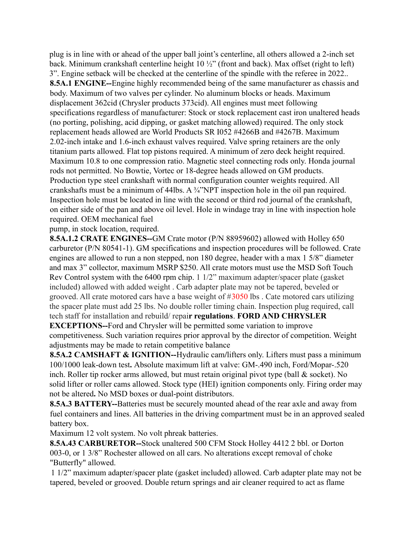plug is in line with or ahead of the upper ball joint's centerline, all others allowed a 2-inch set back. Minimum crankshaft centerline height 10 ½" (front and back). Max offset (right to left) 3". Engine setback will be checked at the centerline of the spindle with the referee in 2022.. **8.5A.1 ENGINE--**Engine highly recommended being of the same manufacturer as chassis and body. Maximum of two valves per cylinder. No aluminum blocks or heads. Maximum displacement 362cid (Chrysler products 373cid). All engines must meet following specifications regardless of manufacturer: Stock or stock replacement cast iron unaltered heads (no porting, polishing, acid dipping, or gasket matching allowed) required. The only stock replacement heads allowed are World Products SR I052 #4266B and #4267B. Maximum 2.02-inch intake and 1.6-inch exhaust valves required. Valve spring retainers are the only titanium parts allowed. Flat top pistons required. A minimum of zero deck height required. Maximum 10.8 to one compression ratio. Magnetic steel connecting rods only. Honda journal rods not permitted. No Bowtie, Vortec or 18-degree heads allowed on GM products. Production type steel crankshaft with normal configuration counter weights required. All crankshafts must be a minimum of 44lbs. A ¾"NPT inspection hole in the oil pan required. Inspection hole must be located in line with the second or third rod journal of the crankshaft, on either side of the pan and above oil level. Hole in windage tray in line with inspection hole required. OEM mechanical fuel

pump, in stock location, required.

**8.5A.1.2 CRATE ENGINES--**GM Crate motor (P/N 88959602) allowed with Holley 650 carburetor (P/N 80541-1). GM specifications and inspection procedures will be followed. Crate engines are allowed to run a non stepped, non 180 degree, header with a max 1 5/8" diameter and max 3" collector, maximum MSRP \$250. All crate motors must use the MSD Soft Touch Rev Control system with the 6400 rpm chip. 1 1/2" maximum adapter/spacer plate (gasket included) allowed with added weight . Carb adapter plate may not be tapered, beveled or grooved. All crate motored cars have a base weight of #3050 lbs . Cate motored cars utilizing the spacer plate must add 25 lbs. No double roller timing chain. Inspection plug required, call tech staff for installation and rebuild/ repai**r regulations**. **FORD AND CHRYSLER**

**EXCEPTIONS--**Ford and Chrysler will be permitted some variation to improve competitiveness. Such variation requires prior approval by the director of competition. Weight adjustments may be made to retain competitive balance

**8.5A.2 CAMSHAFT & IGNITION--**Hydraulic cam**/**lifters only. Lifters must pass a minimum 100/1000 leak-down test**.** Absolute maximum lift at valve: GM-.490 inch, Ford/Mopar-.520 inch. Roller tip rocker arms allowed, but must retain original pivot type (ball & socket). No solid lifter or roller cams allowed. Stock type (HEI) ignition components only. Firing order may not be altered**.** No MSD boxes or dual-point distributors.

**8.5A.3 BATTERY--**Batteries must be securely mounted ahead of the rear axle and away from fuel containers and lines. All batteries in the driving compartment must be in an approved sealed battery box.

Maximum 12 volt system. No volt phreak batteries.

**8.5A.43 CARBURETOR--**Stock unaltered 500 CFM Stock Holley 4412 2 bbl. or Dorton 003-0, or 1 3/8" Rochester allowed on all cars. No alterations except removal of choke "Butterfly" allowed.

1 1/2" maximum adapter/spacer plate (gasket included) allowed. Carb adapter plate may not be tapered, beveled or grooved. Double return springs and air cleaner required to act as flame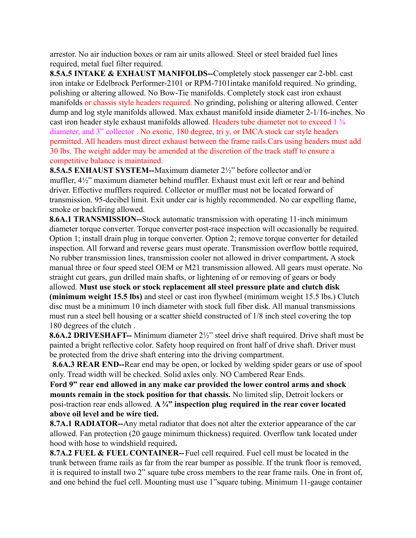arrestor. No air induction boxes or ram air units allowed. Steel or steel braided fuel lines required, metal fuel filter required.

**8.5A.5 INTAKE & EXHAUST MANIFOLDS--**Completely stock passenger car 2-bbl. cast iron intake or Edelbrock Performer-2101 or RPM-7101intake manifold required. No grinding, polishing or altering allowed. No Bow-Tie manifolds. Completely stock cast iron exhaust manifolds or chassis style headers required. No grinding, polishing or altering allowed. Center dump and log style manifolds allowed. Max exhaust manifold inside diameter 2-1/16-inches. No cast iron header style exhaust manifolds allowed. Headers tube diameter not to exceed 1 % diameter, and 3" collector . No exotic, 180 degree, tri y, or IMCA stock car style headers permitted. All headers must direct exhaust between the frame rails.Cars using headers must add 30 lbs. The weight adder may be amended at the discretion of the track staff to ensure a competitive balance is maintained.

**8.5A.5 EXHAUST SYSTEM--**Maximum diameter 2½" before collector and/or muffler, 4½" maximum diameter behind muffler. Exhaust must exit left or rear and behind driver. Effective mufflers required. Collector or muffler must not be located forward of transmission. 95-decibel limit. Exit under car is highly recommended. No car expelling flame, smoke or backfiring allowed.

**8.6A.1 TRANSMISSION--**Stock automatic transmission with operating 11-inch minimum diameter torque converter. Torque converter post-race inspection will occasionally be required. Option 1; install drain plug in torque converter. Option 2; remove torque converter for detailed inspection. All forward and reverse gears must operate. Transmission overflow bottle required, No rubber transmission lines, transmission cooler not allowed in driver compartment**.** A stock manual three or four speed steel OEM or M21 transmission allowed. All gears must operate. No straight cut gears, gun drilled main shafts, or lightening of or removing of gears or body allowed. **Must use stock or stock replacement all steel pressure plate and clutch disk (minimum weight 15.5 lbs)** and steel or cast iron flywheel (minimum weight 15.5 lbs.) Clutch disc must be a minimum 10 inch diameter with stock full fiber disk. All manual transmissions must run a steel bell housing or a scatter shield constructed of 1/8 inch steel covering the top 180 degrees of the clutch .

**8.6A.2 DRIVESHAFT--** Minimum diameter 2½" steel drive shaft required. Drive shaft must be painted a bright reflective color. Safety hoop required on front half of drive shaft. Driver must be protected from the drive shaft entering into the driving compartment.

**8.6A.3 REAR END--**Rear end may be open, or locked by welding spider gears or use of spool only. Tread width will be checked. Solid axles only. NO Cambered Rear Ends.

**Ford 9" rear end allowed in any make car provided the lower control arms and shock mounts remain in the stock position for that chassis.** No limited slip, Detroit lockers or posi-traction rear ends allowed. **A ¾" inspection plug required in the rear cover located above oil level and be wire tied.**

**8.7A.1 RADIATOR--**Any metal radiator that does not alter the exterior appearance of the car allowed. Fan protection (20 gauge minimum thickness) required. Overflow tank located under hood with hose to windshield required**.**

**8.7A.2 FUEL & FUEL CONTAINER--**Fuel cell required. Fuel cell must be located in the trunk between frame rails as far from the rear bumper as possible. If the trunk floor is removed, it is required to install two 2" square tube cross members to the rear frame rails. One in front of, and one behind the fuel cell. Mounting must use 1"square tubing. Minimum 11-gauge container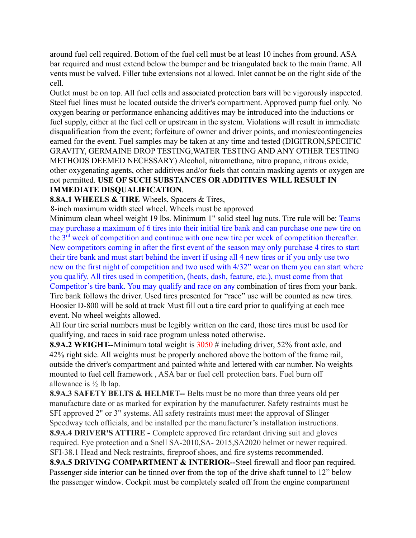around fuel cell required. Bottom of the fuel cell must be at least 10 inches from ground. ASA bar required and must extend below the bumper and be triangulated back to the main frame. All vents must be valved. Filler tube extensions not allowed. Inlet cannot be on the right side of the cell.

Outlet must be on top. All fuel cells and associated protection bars will be vigorously inspected. Steel fuel lines must be located outside the driver's compartment. Approved pump fuel only. No oxygen bearing or performance enhancing additives may be introduced into the inductions or fuel supply, either at the fuel cell or upstream in the system. Violations will result in immediate disqualification from the event; forfeiture of owner and driver points, and monies/contingencies earned for the event. Fuel samples may be taken at any time and tested (DIGITRON,SPECIFIC GRAVITY, GERMAINE DROP TESTING,WATER TESTING AND ANY OTHER TESTING METHODS DEEMED NECESSARY) Alcohol, nitromethane, nitro propane, nitrous oxide, other oxygenating agents, other additives and/or fuels that contain masking agents or oxygen are not permitted. **USE OF SUCH SUBSTANCES OR ADDITIVES WILL RESULT IN IMMEDIATE DISQUALIFICATION**.

**8.8A.1 WHEELS & TIRE** Wheels, Spacers & Tires, 8-inch maximum width steel wheel. Wheels must be approved

Minimum clean wheel weight 19 lbs. Minimum 1" solid steel lug nuts. Tire rule will be: Teams may purchase a maximum of 6 tires into their initial tire bank and can purchase one new tire on the 3rd week of competition and continue with one new tire per week of competition thereafter. New competitors coming in after the first event of the season may only purchase 4 tires to start their tire bank and must start behind the invert if using all 4 new tires or if you only use two new on the first night of competition and two used with 4/32" wear on them you can start where you qualify. All tires used in competition, (heats, dash, feature, etc.), must come from that Competitor's tire bank. You may qualify and race on any combination of tires from your bank. Tire bank follows the driver. Used tires presented for "race" use will be counted as new tires. Hoosier D-800 will be sold at track Must fill out a tire card prior to qualifying at each race event. No wheel weights allowed.

All four tire serial numbers must be legibly written on the card, those tires must be used for qualifying, and races in said race program unless noted otherwise.

**8.9A.2 WEIGHT--**Minimum total weight is 3050 # including driver, 52% front axle, and 42% right side. All weights must be properly anchored above the bottom of the frame rail, outside the driver's compartment and painted white and lettered with car number. No weights mounted to fuel cell framework , ASA bar or fuel cell protection bars. Fuel burn off allowance is  $\frac{1}{2}$  lb lap.

**8.9A.3 SAFETY BELTS & HELMET--** Belts must be no more than three years old per manufacture date or as marked for expiration by the manufacturer. Safety restraints must be SFI approved 2" or 3" systems. All safety restraints must meet the approval of Slinger Speedway tech officials, and be installed per the manufacturer's installation instructions.

**8.9A.4 DRIVER'S ATTIRE -** Complete approved fire retardant driving suit and gloves required. Eye protection and a Snell SA-2010,SA- 2015,SA2020 helmet or newer required. SFI-38.1 Head and Neck restraints, fireproof shoes, and fire systems recommended.

**8.9A.5 DRIVING COMPARTMENT & INTERIOR--**Steel firewall and floor pan required. Passenger side interior can be tinned over from the top of the drive shaft tunnel to 12" below the passenger window. Cockpit must be completely sealed off from the engine compartment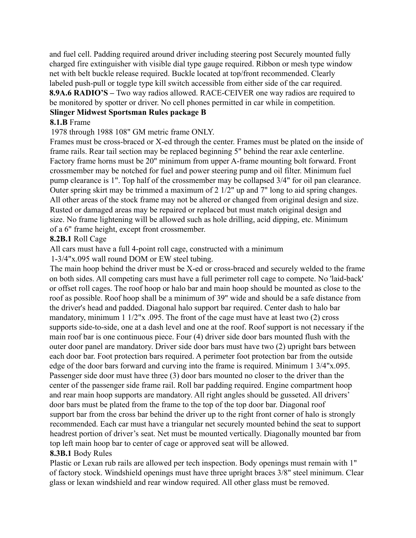and fuel cell. Padding required around driver including steering post Securely mounted fully charged fire extinguisher with visible dial type gauge required. Ribbon or mesh type window net with belt buckle release required. Buckle located at top/front recommended. Clearly labeled push-pull or toggle type kill switch accessible from either side of the car required.

**8.9A.6 RADIO'S –** Two way radios allowed. RACE-CEIVER one way radios are required to be monitored by spotter or driver. No cell phones permitted in car while in competition.

### **Slinger Midwest Sportsman Rules package B**

#### **8.1.B** Frame

1978 through 1988 108" GM metric frame ONLY.

Frames must be cross-braced or X-ed through the center. Frames must be plated on the inside of frame rails. Rear tail section may be replaced beginning 5" behind the rear axle centerline. Factory frame horns must be 20" minimum from upper A-frame mounting bolt forward. Front crossmember may be notched for fuel and power steering pump and oil filter. Minimum fuel pump clearance is 1". Top half of the crossmember may be collapsed 3/4" for oil pan clearance. Outer spring skirt may be trimmed a maximum of 2 1/2" up and 7" long to aid spring changes. All other areas of the stock frame may not be altered or changed from original design and size. Rusted or damaged areas may be repaired or replaced but must match original design and size. No frame lightening will be allowed such as hole drilling, acid dipping, etc. Minimum of a 6" frame height, except front crossmember.

### **8.2B.1** Roll Cage

All cars must have a full 4-point roll cage, constructed with a minimum

1-3/4"x.095 wall round DOM or EW steel tubing.

The main hoop behind the driver must be X-ed or cross-braced and securely welded to the frame on both sides. All competing cars must have a full perimeter roll cage to compete. No 'laid-back' or offset roll cages. The roof hoop or halo bar and main hoop should be mounted as close to the roof as possible. Roof hoop shall be a minimum of 39" wide and should be a safe distance from the driver's head and padded. Diagonal halo support bar required. Center dash to halo bar mandatory, minimum 1 1/2"x .095. The front of the cage must have at least two (2) cross supports side-to-side, one at a dash level and one at the roof. Roof support is not necessary if the main roof bar is one continuous piece. Four (4) driver side door bars mounted flush with the outer door panel are mandatory. Driver side door bars must have two (2) upright bars between each door bar. Foot protection bars required. A perimeter foot protection bar from the outside edge of the door bars forward and curving into the frame is required. Minimum 1 3/4"x.095. Passenger side door must have three (3) door bars mounted no closer to the driver than the center of the passenger side frame rail. Roll bar padding required. Engine compartment hoop and rear main hoop supports are mandatory. All right angles should be gusseted. All drivers' door bars must be plated from the frame to the top of the top door bar. Diagonal roof support bar from the cross bar behind the driver up to the right front corner of halo is strongly recommended. Each car must have a triangular net securely mounted behind the seat to support headrest portion of driver's seat. Net must be mounted vertically. Diagonally mounted bar from top left main hoop bar to center of cage or approved seat will be allowed.

### **8.3B.1** Body Rules

Plastic or Lexan rub rails are allowed per tech inspection. Body openings must remain with 1" of factory stock. Windshield openings must have three upright braces 3/8" steel minimum. Clear glass or lexan windshield and rear window required. All other glass must be removed.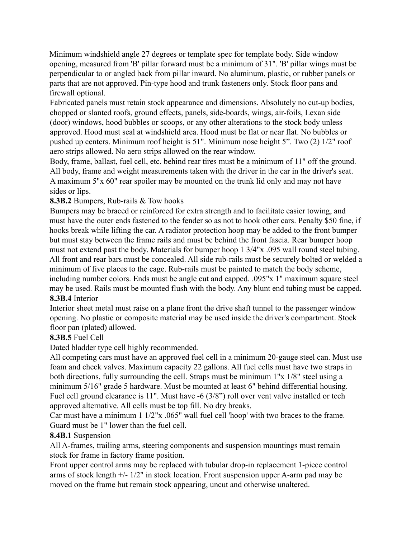Minimum windshield angle 27 degrees or template spec for template body. Side window opening, measured from 'B' pillar forward must be a minimum of 31". 'B' pillar wings must be perpendicular to or angled back from pillar inward. No aluminum, plastic, or rubber panels or parts that are not approved. Pin-type hood and trunk fasteners only. Stock floor pans and firewall optional.

Fabricated panels must retain stock appearance and dimensions. Absolutely no cut-up bodies, chopped or slanted roofs, ground effects, panels, side-boards, wings, air-foils, Lexan side (door) windows, hood bubbles or scoops, or any other alterations to the stock body unless approved. Hood must seal at windshield area. Hood must be flat or near flat. No bubbles or pushed up centers. Minimum roof height is 51". Minimum nose height 5". Two (2) 1/2" roof aero strips allowed. No aero strips allowed on the rear window.

Body, frame, ballast, fuel cell, etc. behind rear tires must be a minimum of 11" off the ground. All body, frame and weight measurements taken with the driver in the car in the driver's seat. A maximum 5"x 60" rear spoiler may be mounted on the trunk lid only and may not have sides or lips.

## **8.3B.2** Bumpers, Rub-rails & Tow hooks

Bumpers may be braced or reinforced for extra strength and to facilitate easier towing, and must have the outer ends fastened to the fender so as not to hook other cars. Penalty \$50 fine, if hooks break while lifting the car. A radiator protection hoop may be added to the front bumper but must stay between the frame rails and must be behind the front fascia. Rear bumper hoop must not extend past the body. Materials for bumper hoop 1 3/4"x .095 wall round steel tubing. All front and rear bars must be concealed. All side rub-rails must be securely bolted or welded a minimum of five places to the cage. Rub-rails must be painted to match the body scheme, including number colors. Ends must be angle cut and capped. .095"x 1" maximum square steel may be used. Rails must be mounted flush with the body. Any blunt end tubing must be capped. **8.3B.4** Interior

## Interior sheet metal must raise on a plane front the drive shaft tunnel to the passenger window opening. No plastic or composite material may be used inside the driver's compartment. Stock floor pan (plated) allowed.

### **8.3B.5** Fuel Cell

Dated bladder type cell highly recommended.

All competing cars must have an approved fuel cell in a minimum 20-gauge steel can. Must use foam and check valves. Maximum capacity 22 gallons. All fuel cells must have two straps in both directions, fully surrounding the cell. Straps must be minimum 1"x 1/8" steel using a minimum 5/16" grade 5 hardware. Must be mounted at least 6" behind differential housing. Fuel cell ground clearance is 11". Must have -6 (3/8") roll over vent valve installed or tech approved alternative. All cells must be top fill. No dry breaks.

Car must have a minimum 1 1/2"x .065" wall fuel cell 'hoop' with two braces to the frame. Guard must be 1" lower than the fuel cell.

### **8.4B.1** Suspension

All A-frames, trailing arms, steering components and suspension mountings must remain stock for frame in factory frame position.

Front upper control arms may be replaced with tubular drop-in replacement 1-piece control arms of stock length +/- 1/2" in stock location. Front suspension upper A-arm pad may be moved on the frame but remain stock appearing, uncut and otherwise unaltered.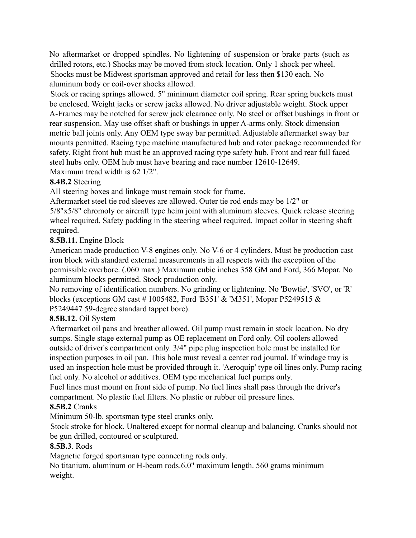No aftermarket or dropped spindles. No lightening of suspension or brake parts (such as drilled rotors, etc.) Shocks may be moved from stock location. Only 1 shock per wheel. Shocks must be Midwest sportsman approved and retail for less then \$130 each. No aluminum body or coil-over shocks allowed.

Stock or racing springs allowed. 5" minimum diameter coil spring. Rear spring buckets must be enclosed. Weight jacks or screw jacks allowed. No driver adjustable weight. Stock upper A-Frames may be notched for screw jack clearance only. No steel or offset bushings in front or rear suspension. May use offset shaft or bushings in upper A-arms only. Stock dimension metric ball joints only. Any OEM type sway bar permitted. Adjustable aftermarket sway bar mounts permitted. Racing type machine manufactured hub and rotor package recommended for safety. Right front hub must be an approved racing type safety hub. Front and rear full faced steel hubs only. OEM hub must have bearing and race number 12610-12649.

Maximum tread width is 62 1/2".

# **8.4B.2** Steering

All steering boxes and linkage must remain stock for frame.

Aftermarket steel tie rod sleeves are allowed. Outer tie rod ends may be 1/2" or 5/8"x5/8" chromoly or aircraft type heim joint with aluminum sleeves. Quick release steering wheel required. Safety padding in the steering wheel required. Impact collar in steering shaft required.

## **8.5B.11.** Engine Block

American made production V-8 engines only. No V-6 or 4 cylinders. Must be production cast iron block with standard external measurements in all respects with the exception of the permissible overbore. (.060 max.) Maximum cubic inches 358 GM and Ford, 366 Mopar. No aluminum blocks permitted. Stock production only.

No removing of identification numbers. No grinding or lightening. No 'Bowtie', 'SVO', or 'R' blocks (exceptions GM cast # 1005482, Ford 'B351' & 'M351', Mopar P5249515 & P5249447 59-degree standard tappet bore).

# **8.5B.12.** Oil System

Aftermarket oil pans and breather allowed. Oil pump must remain in stock location. No dry sumps. Single stage external pump as OE replacement on Ford only. Oil coolers allowed outside of driver's compartment only. 3/4" pipe plug inspection hole must be installed for inspection purposes in oil pan. This hole must reveal a center rod journal. If windage tray is used an inspection hole must be provided through it. 'Aeroquip' type oil lines only. Pump racing fuel only. No alcohol or additives. OEM type mechanical fuel pumps only.

Fuel lines must mount on front side of pump. No fuel lines shall pass through the driver's compartment. No plastic fuel filters. No plastic or rubber oil pressure lines.

# **8.5B.2** Cranks

Minimum 50-lb. sportsman type steel cranks only.

Stock stroke for block. Unaltered except for normal cleanup and balancing. Cranks should not be gun drilled, contoured or sculptured.

# **8.5B.3**. Rods

Magnetic forged sportsman type connecting rods only.

No titanium, aluminum or H-beam rods.6.0" maximum length. 560 grams minimum weight.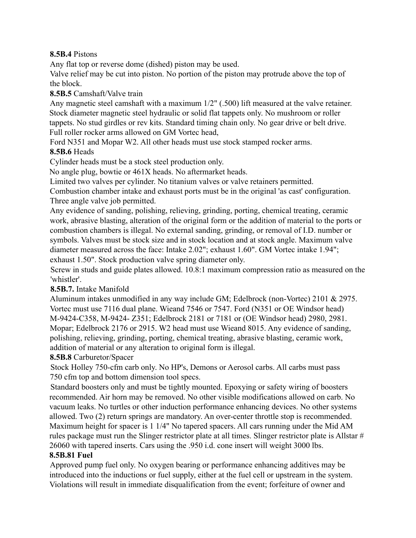## **8.5B.4** Pistons

Any flat top or reverse dome (dished) piston may be used.

Valve relief may be cut into piston. No portion of the piston may protrude above the top of the block.

## **8.5B.5** Camshaft/Valve train

Any magnetic steel camshaft with a maximum 1/2" (.500) lift measured at the valve retainer. Stock diameter magnetic steel hydraulic or solid flat tappets only. No mushroom or roller tappets. No stud girdles or rev kits. Standard timing chain only. No gear drive or belt drive. Full roller rocker arms allowed on GM Vortec head,

Ford N351 and Mopar W2. All other heads must use stock stamped rocker arms.

## **8.5B.6** Heads

Cylinder heads must be a stock steel production only.

No angle plug, bowtie or 461X heads. No aftermarket heads.

Limited two valves per cylinder. No titanium valves or valve retainers permitted.

Combustion chamber intake and exhaust ports must be in the original 'as cast' configuration. Three angle valve job permitted.

Any evidence of sanding, polishing, relieving, grinding, porting, chemical treating, ceramic work, abrasive blasting, alteration of the original form or the addition of material to the ports or combustion chambers is illegal. No external sanding, grinding, or removal of I.D. number or symbols. Valves must be stock size and in stock location and at stock angle. Maximum valve diameter measured across the face: Intake 2.02"; exhaust 1.60". GM Vortec intake 1.94"; exhaust 1.50". Stock production valve spring diameter only.

Screw in studs and guide plates allowed. 10.8:1 maximum compression ratio as measured on the 'whistler'.

## **8.5B.7.** Intake Manifold

Aluminum intakes unmodified in any way include GM; Edelbrock (non-Vortec) 2101 & 2975. Vortec must use 7116 dual plane. Wieand 7546 or 7547. Ford (N351 or OE Windsor head) M-9424-C358, M-9424- Z351; Edelbrock 2181 or 7181 or (OE Windsor head) 2980, 2981. Mopar; Edelbrock 2176 or 2915. W2 head must use Wieand 8015. Any evidence of sanding, polishing, relieving, grinding, porting, chemical treating, abrasive blasting, ceramic work, addition of material or any alteration to original form is illegal.

## **8.5B.8** Carburetor/Spacer

Stock Holley 750-cfm carb only. No HP's, Demons or Aerosol carbs. All carbs must pass 750 cfm top and bottom dimension tool specs.

Standard boosters only and must be tightly mounted. Epoxying or safety wiring of boosters recommended. Air horn may be removed. No other visible modifications allowed on carb. No vacuum leaks. No turtles or other induction performance enhancing devices. No other systems allowed. Two (2) return springs are mandatory. An over-center throttle stop is recommended. Maximum height for spacer is 1 1/4" No tapered spacers. All cars running under the Mid AM rules package must run the Slinger restrictor plate at all times. Slinger restrictor plate is Allstar # 26060 with tapered inserts. Cars using the .950 i.d. cone insert will weight 3000 lbs.

### **8.5B.81 Fuel**

Approved pump fuel only. No oxygen bearing or performance enhancing additives may be introduced into the inductions or fuel supply, either at the fuel cell or upstream in the system. Violations will result in immediate disqualification from the event; forfeiture of owner and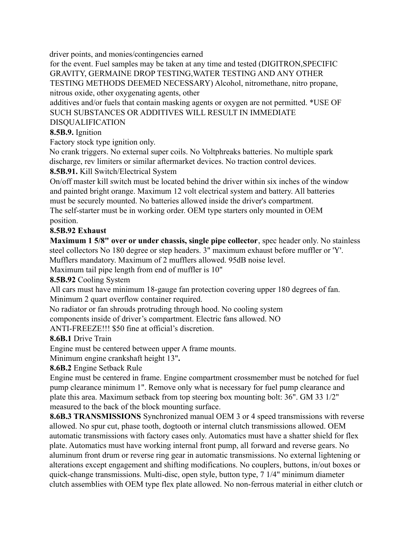driver points, and monies/contingencies earned

for the event. Fuel samples may be taken at any time and tested (DIGITRON,SPECIFIC GRAVITY, GERMAINE DROP TESTING,WATER TESTING AND ANY OTHER TESTING METHODS DEEMED NECESSARY) Alcohol, nitromethane, nitro propane, nitrous oxide, other oxygenating agents, other

additives and/or fuels that contain masking agents or oxygen are not permitted. \*USE OF SUCH SUBSTANCES OR ADDITIVES WILL RESULT IN IMMEDIATE DISQUALIFICATION

## **8.5B.9.** Ignition

Factory stock type ignition only.

No crank triggers. No external super coils. No Voltphreaks batteries. No multiple spark discharge, rev limiters or similar aftermarket devices. No traction control devices.

## **8.5B.91.** Kill Switch/Electrical System

On/off master kill switch must be located behind the driver within six inches of the window and painted bright orange. Maximum 12 volt electrical system and battery. All batteries must be securely mounted. No batteries allowed inside the driver's compartment. The self-starter must be in working order. OEM type starters only mounted in OEM position.

## **8.5B.92 Exhaust**

**Maximum 1 5/8" over or under chassis, single pipe collector**, spec header only. No stainless steel collectors No 180 degree or step headers. 3" maximum exhaust before muffler or 'Y'. Mufflers mandatory. Maximum of 2 mufflers allowed. 95dB noise level.

Maximum tail pipe length from end of muffler is 10"

### **8.5B.92** Cooling System

All cars must have minimum 18-gauge fan protection covering upper 180 degrees of fan. Minimum 2 quart overflow container required.

No radiator or fan shrouds protruding through hood. No cooling system

components inside of driver's compartment. Electric fans allowed. NO

ANTI-FREEZE!!! \$50 fine at official's discretion.

### **8.6B.1** Drive Train

Engine must be centered between upper A frame mounts.

Minimum engine crankshaft height 13"**.**

**8.6B.2** Engine Setback Rule

Engine must be centered in frame. Engine compartment crossmember must be notched for fuel pump clearance minimum 1". Remove only what is necessary for fuel pump clearance and plate this area. Maximum setback from top steering box mounting bolt: 36". GM 33 1/2" measured to the back of the block mounting surface.

**8.6B.3 TRANSMISSIONS** Synchronized manual OEM 3 or 4 speed transmissions with reverse allowed. No spur cut, phase tooth, dogtooth or internal clutch transmissions allowed. OEM automatic transmissions with factory cases only. Automatics must have a shatter shield for flex plate. Automatics must have working internal front pump, all forward and reverse gears. No aluminum front drum or reverse ring gear in automatic transmissions. No external lightening or alterations except engagement and shifting modifications. No couplers, buttons, in/out boxes or quick-change transmissions. Multi-disc, open style, button type, 7 1/4" minimum diameter clutch assemblies with OEM type flex plate allowed. No non-ferrous material in either clutch or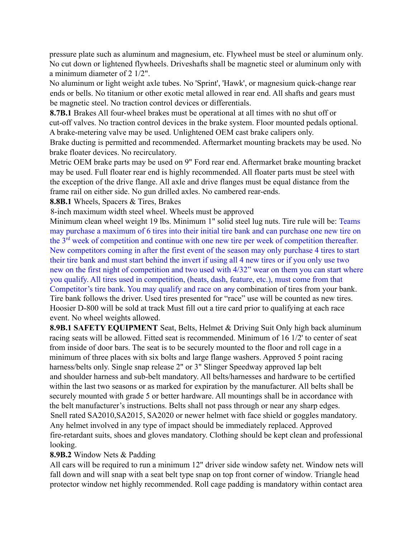pressure plate such as aluminum and magnesium, etc. Flywheel must be steel or aluminum only. No cut down or lightened flywheels. Driveshafts shall be magnetic steel or aluminum only with a minimum diameter of 2 1/2".

No aluminum or light weight axle tubes. No 'Sprint', 'Hawk', or magnesium quick-change rear ends or bells. No titanium or other exotic metal allowed in rear end. All shafts and gears must be magnetic steel. No traction control devices or differentials.

**8.7B.1** Brakes All four-wheel brakes must be operational at all times with no shut off or cut-off valves. No traction control devices in the brake system. Floor mounted pedals optional. A brake-metering valve may be used. Unlightened OEM cast brake calipers only.

Brake ducting is permitted and recommended. Aftermarket mounting brackets may be used. No brake floater devices. No recirculatory.

Metric OEM brake parts may be used on 9" Ford rear end. Aftermarket brake mounting bracket may be used. Full floater rear end is highly recommended. All floater parts must be steel with the exception of the drive flange. All axle and drive flanges must be equal distance from the frame rail on either side. No gun drilled axles. No cambered rear-ends.

**8.8B.1** Wheels, Spacers & Tires, Brakes

8-inch maximum width steel wheel. Wheels must be approved

Minimum clean wheel weight 19 lbs. Minimum 1" solid steel lug nuts. Tire rule will be: Teams may purchase a maximum of 6 tires into their initial tire bank and can purchase one new tire on the 3rd week of competition and continue with one new tire per week of competition thereafter. New competitors coming in after the first event of the season may only purchase 4 tires to start their tire bank and must start behind the invert if using all 4 new tires or if you only use two new on the first night of competition and two used with 4/32" wear on them you can start where you qualify. All tires used in competition, (heats, dash, feature, etc.), must come from that Competitor's tire bank. You may qualify and race on any combination of tires from your bank. Tire bank follows the driver. Used tires presented for "race" use will be counted as new tires. Hoosier D-800 will be sold at track Must fill out a tire card prior to qualifying at each race event. No wheel weights allowed.

**8.9B.1 SAFETY EQUIPMENT** Seat, Belts, Helmet & Driving Suit Only high back aluminum racing seats will be allowed. Fitted seat is recommended. Minimum of 16 1/2' to center of seat from inside of door bars. The seat is to be securely mounted to the floor and roll cage in a minimum of three places with six bolts and large flange washers. Approved 5 point racing harness/belts only. Single snap release 2" or 3" Slinger Speedway approved lap belt and shoulder harness and sub-belt mandatory. All belts/harnesses and hardware to be certified within the last two seasons or as marked for expiration by the manufacturer. All belts shall be securely mounted with grade 5 or better hardware. All mountings shall be in accordance with the belt manufacturer's instructions. Belts shall not pass through or near any sharp edges. Snell rated SA2010,SA2015, SA2020 or newer helmet with face shield or goggles mandatory. Any helmet involved in any type of impact should be immediately replaced. Approved fire-retardant suits, shoes and gloves mandatory. Clothing should be kept clean and professional looking.

### **8.9B.2** Window Nets & Padding

All cars will be required to run a minimum 12" driver side window safety net. Window nets will fall down and will snap with a seat belt type snap on top front corner of window. Triangle head protector window net highly recommended. Roll cage padding is mandatory within contact area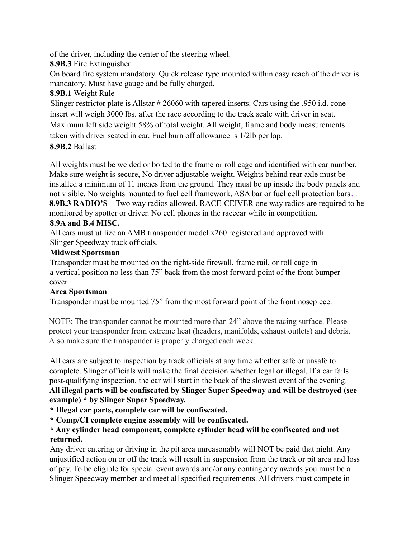of the driver, including the center of the steering wheel.

**8.9B.3** Fire Extinguisher

On board fire system mandatory. Quick release type mounted within easy reach of the driver is mandatory. Must have gauge and be fully charged.

# **8.9B.1** Weight Rule

Slinger restrictor plate is Allstar # 26060 with tapered inserts. Cars using the .950 i.d. cone insert will weigh 3000 lbs. after the race according to the track scale with driver in seat. Maximum left side weight 58% of total weight. All weight, frame and body measurements taken with driver seated in car. Fuel burn off allowance is 1/2lb per lap.

# **8.9B.2** Ballast

All weights must be welded or bolted to the frame or roll cage and identified with car number. Make sure weight is secure, No driver adjustable weight. Weights behind rear axle must be installed a minimum of 11 inches from the ground. They must be up inside the body panels and not visible. No weights mounted to fuel cell framework, ASA bar or fuel cell protection bars. . **8.9B.3 RADIO'S –** Two way radios allowed. RACE-CEIVER one way radios are required to be monitored by spotter or driver. No cell phones in the racecar while in competition.

# **8.9A and B.4 MISC.**

All cars must utilize an AMB transponder model x260 registered and approved with Slinger Speedway track officials.

## **Midwest Sportsman**

Transponder must be mounted on the right-side firewall, frame rail, or roll cage in a vertical position no less than 75" back from the most forward point of the front bumper cover.

## **Area Sportsman**

Transponder must be mounted 75" from the most forward point of the front nosepiece.

NOTE: The transponder cannot be mounted more than 24" above the racing surface. Please protect your transponder from extreme heat (headers, manifolds, exhaust outlets) and debris. Also make sure the transponder is properly charged each week.

All cars are subject to inspection by track officials at any time whether safe or unsafe to complete. Slinger officials will make the final decision whether legal or illegal. If a car fails post-qualifying inspection, the car will start in the back of the slowest event of the evening. **All illegal parts will be confiscated by Slinger Super Speedway and will be destroyed (see example) \* by Slinger Super Speedway.**

**\* Illegal car parts, complete car will be confiscated.**

**\* Comp/CI complete engine assembly will be confiscated.**

## **\* Any cylinder head component, complete cylinder head will be confiscated and not returned.**

Any driver entering or driving in the pit area unreasonably will NOT be paid that night. Any unjustified action on or off the track will result in suspension from the track or pit area and loss of pay. To be eligible for special event awards and/or any contingency awards you must be a Slinger Speedway member and meet all specified requirements. All drivers must compete in